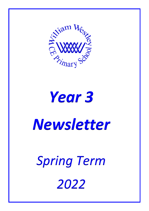

### *Year 3*

## *Newsletter*

# *Spring Term 2022*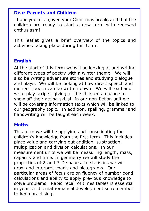#### **Dear Parents and Children**

I hope you all enjoyed your Christmas break, and that the children are ready to start a new term with renewed enthusiasm!

This leaflet gives a brief overview of the topics and activities taking place during this term.

#### **English**

At the start of this term we will be looking at and writing different types of poetry with a winter theme. We will also be writing adventure stories and studying dialogue and plays. We will be looking at how direct speech and indirect speech can be written down. We will read and write play scripts, giving all the children a chance to show off their acting skills! In our non-fiction unit we will be covering information texts which will be linked to our geography topic. In addition, spelling, grammar and handwriting will be taught each week.

#### **Maths**

This term we will be applying and consolidating the children's knowledge from the first term. This includes place value and carrying out addition, subtraction, multiplication and division calculations. In our measurement units we will be measuring length, mass, capacity and time. In geometry we will study the properties of 2-and 3-D shapes. In statistics we will draw and interpret charts and pictograms. Our particular areas of focus are on fluency of number bond calculations and ability to apply previous knowledge to solve problems. Rapid recall of times tables is essential in your child's mathematical development so remember to keep practising!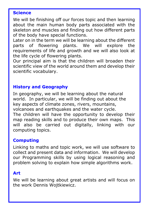#### **Science**

We will be finishing off our forces topic and then learning about the main human body parts associated with the skeleton and muscles and finding out how different parts of the body have special functions.

Later on in the term we will be learning about the different parts of flowering plants. We will explore the requirements of life and growth and we will also look at the life cycle of flowering plants.

Our principal aim is that the children will broaden their scientific view of the world around them and develop their scientific vocabulary.

#### **History and Geography**

In geography, we will be learning about the natural world. In particular, we will be finding out about the key aspects of climate zones, rivers, mountains, volcanoes and earthquakes and the water cycle. The children will have the opportunity to develop their map reading skills and to produce their own maps. This will also be carried out digitally, linking with our computing topics.

#### **Computing**

Linking to maths and topic work, we will use software to collect and present data and information. We will develop our Programming skills by using logical reasoning and problem solving to explain how simple algorithms work.

#### **Art**

We will be learning about great artists and will focus on the work Dennis Wojtkiewicz.